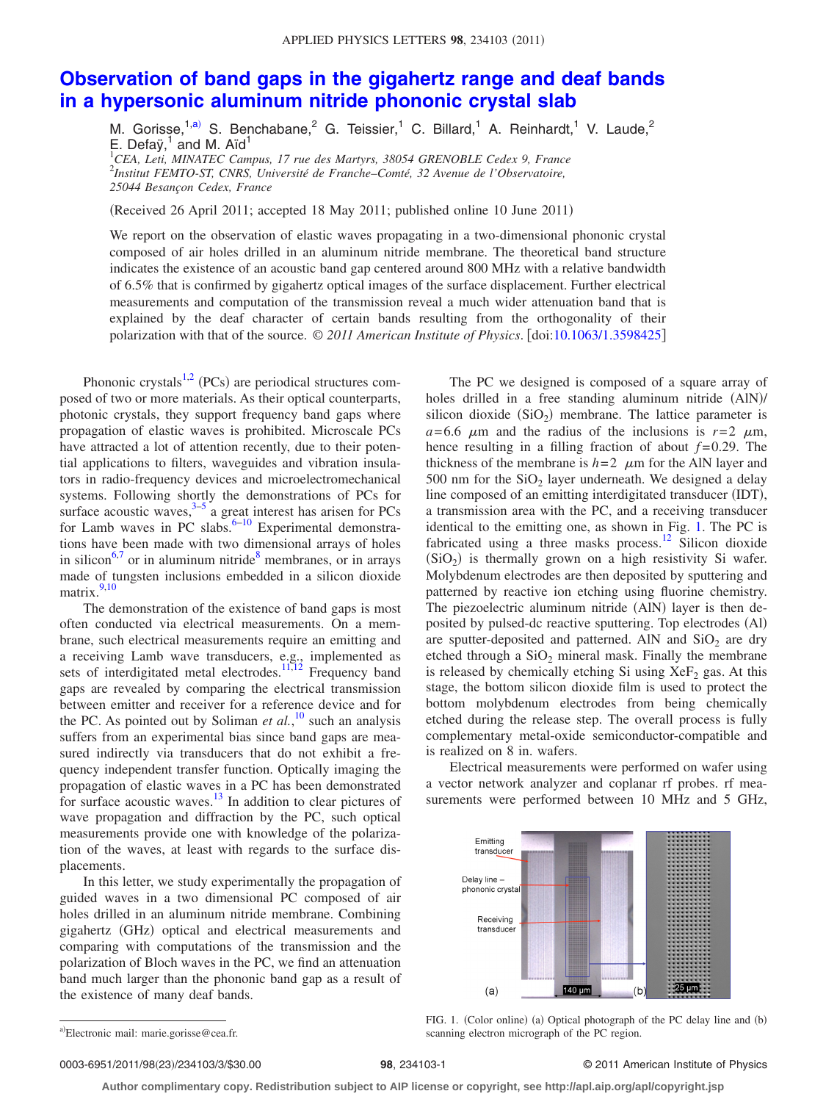## **[Observation of band gaps in the gigahertz range and deaf bands](http://dx.doi.org/10.1063/1.3598425) [in a hypersonic aluminum nitride phononic crystal slab](http://dx.doi.org/10.1063/1.3598425)**

M. Gorisse,  $1, a)$  S. Benchabane, 2 G. Teissier, 1 C. Billard, 1 A. Reinhardt, 1 V. Laude, 2 E. Defay, $1$  and M. Aïd $1$ 

<sup>1</sup>CEA, Leti, MINATEC Campus, 17 rue des Martyrs, 38054 GRENOBLE Cedex 9, France 2 *Institut FEMTO-ST, CNRS, Université de Franche–Comté, 32 Avenue de l'Observatoire, 25044 Besançon Cedex, France*

(Received 26 April 2011; accepted 18 May 2011; published online 10 June 2011)

We report on the observation of elastic waves propagating in a two-dimensional phononic crystal composed of air holes drilled in an aluminum nitride membrane. The theoretical band structure indicates the existence of an acoustic band gap centered around 800 MHz with a relative bandwidth of 6.5% that is confirmed by gigahertz optical images of the surface displacement. Further electrical measurements and computation of the transmission reveal a much wider attenuation band that is explained by the deaf character of certain bands resulting from the orthogonality of their polarization with that of the source. © *2011 American Institute of Physics*. doi[:10.1063/1.3598425](http://dx.doi.org/10.1063/1.3598425)

Phononic crystals<sup>1[,2](#page-2-1)</sup> (PCs) are periodical structures composed of two or more materials. As their optical counterparts, photonic crystals, they support frequency band gaps where propagation of elastic waves is prohibited. Microscale PCs have attracted a lot of attention recently, due to their potential applications to filters, waveguides and vibration insulators in radio-frequency devices and microelectromechanical systems. Following shortly the demonstrations of PCs for surface acoustic waves, $3\frac{3}{5}$  a great interest has arisen for PCs for Lamb waves in PC slabs. $6-10$  Experimental demonstrations have been made with two dimensional arrays of holes in silicon<sup>6,[7](#page-2-6)</sup> or in aluminum nitride<sup>8</sup> membranes, or in arrays made of tungsten inclusions embedded in a silicon dioxide matrix.<sup>9,[10](#page-2-5)</sup>

The demonstration of the existence of band gaps is most often conducted via electrical measurements. On a membrane, such electrical measurements require an emitting and a receiving Lamb wave transducers, e.g., implemented as sets of interdigitated metal electrodes.<sup>11[,12](#page-2-10)</sup> Frequency band gaps are revealed by comparing the electrical transmission between emitter and receiver for a reference device and for the PC. As pointed out by Soliman *et al.*, [10](#page-2-5) such an analysis suffers from an experimental bias since band gaps are measured indirectly via transducers that do not exhibit a frequency independent transfer function. Optically imaging the propagation of elastic waves in a PC has been demonstrated for surface acoustic waves. $13$  In addition to clear pictures of wave propagation and diffraction by the PC, such optical measurements provide one with knowledge of the polarization of the waves, at least with regards to the surface displacements.

In this letter, we study experimentally the propagation of guided waves in a two dimensional PC composed of air holes drilled in an aluminum nitride membrane. Combining gigahertz (GHz) optical and electrical measurements and comparing with computations of the transmission and the polarization of Bloch waves in the PC, we find an attenuation band much larger than the phononic band gap as a result of the existence of many deaf bands.

The PC we designed is composed of a square array of holes drilled in a free standing aluminum nitride (AlN)/ silicon dioxide  $(SiO<sub>2</sub>)$  membrane. The lattice parameter is  $a = 6.6$   $\mu$ m and the radius of the inclusions is  $r = 2$   $\mu$ m, hence resulting in a filling fraction of about  $f=0.29$ . The thickness of the membrane is  $h=2$   $\mu$ m for the AlN layer and 500 nm for the  $SiO<sub>2</sub>$  layer underneath. We designed a delay line composed of an emitting interdigitated transducer (IDT), a transmission area with the PC, and a receiving transducer identical to the emitting one, as shown in Fig. [1.](#page-0-1) The PC is fabricated using a three masks process.<sup>12</sup> Silicon dioxide  $(SiO<sub>2</sub>)$  is thermally grown on a high resistivity Si wafer. Molybdenum electrodes are then deposited by sputtering and patterned by reactive ion etching using fluorine chemistry. The piezoelectric aluminum nitride (AlN) layer is then deposited by pulsed-dc reactive sputtering. Top electrodes (Al) are sputter-deposited and patterned. AlN and  $SiO<sub>2</sub>$  are dry etched through a  $SiO<sub>2</sub>$  mineral mask. Finally the membrane is released by chemically etching Si using  $XeF<sub>2</sub>$  gas. At this stage, the bottom silicon dioxide film is used to protect the bottom molybdenum electrodes from being chemically etched during the release step. The overall process is fully complementary metal-oxide semiconductor-compatible and is realized on 8 in. wafers.

<span id="page-0-1"></span>Electrical measurements were performed on wafer using a vector network analyzer and coplanar rf probes. rf measurements were performed between 10 MHz and 5 GHz,



FIG. 1. (Color online) (a) Optical photograph of the PC delay line and (b)

scanning electron micrograph of the PC region.

0003-6951/2011/98(23)/234103/3/\$30.00

## /234103/3/\$30.00 © 2011 American Institute of Physics **98**, 234103-1

**Author complimentary copy. Redistribution subject to AIP license or copyright, see http://apl.aip.org/apl/copyright.jsp**

<span id="page-0-0"></span>a)Electronic mail: marie.gorisse@cea.fr.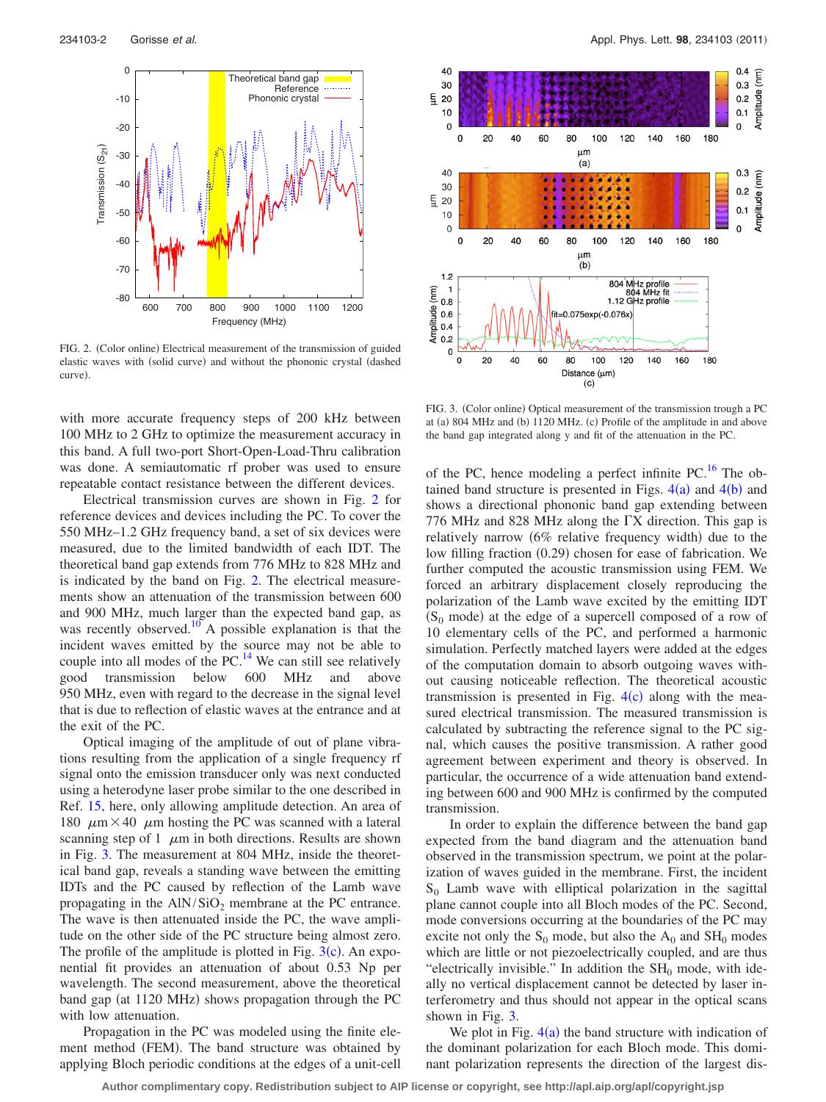<span id="page-1-0"></span>

FIG. 2. (Color online) Electrical measurement of the transmission of guided elastic waves with (solid curve) and without the phononic crystal (dashed curve)

with more accurate frequency steps of 200 kHz between 100 MHz to 2 GHz to optimize the measurement accuracy in this band. A full two-port Short-Open-Load-Thru calibration was done. A semiautomatic rf prober was used to ensure repeatable contact resistance between the different devices.

Electrical transmission curves are shown in Fig. [2](#page-1-0) for reference devices and devices including the PC. To cover the 550 MHz–1.2 GHz frequency band, a set of six devices were measured, due to the limited bandwidth of each IDT. The theoretical band gap extends from 776 MHz to 828 MHz and is indicated by the band on Fig. [2.](#page-1-0) The electrical measurements show an attenuation of the transmission between 600 and 900 MHz, much larger than the expected band gap, as was recently observed.<sup>10</sup> A possible explanation is that the incident waves emitted by the source may not be able to couple into all modes of the PC. $^{14}$  We can still see relatively good transmission below 600 MHz and above 950 MHz, even with regard to the decrease in the signal level that is due to reflection of elastic waves at the entrance and at the exit of the PC.

Optical imaging of the amplitude of out of plane vibrations resulting from the application of a single frequency rf signal onto the emission transducer only was next conducted using a heterodyne laser probe similar to the one described in Ref. [15,](#page-2-13) here, only allowing amplitude detection. An area of 180  $\mu$ m × 40  $\mu$ m hosting the PC was scanned with a lateral scanning step of 1  $\mu$ m in both directions. Results are shown in Fig. [3.](#page-1-1) The measurement at 804 MHz, inside the theoretical band gap, reveals a standing wave between the emitting IDTs and the PC caused by reflection of the Lamb wave propagating in the  $AlN/SiO<sub>2</sub>$  membrane at the PC entrance. The wave is then attenuated inside the PC, the wave amplitude on the other side of the PC structure being almost zero. The profile of the amplitude is plotted in Fig.  $3(c)$  $3(c)$ . An exponential fit provides an attenuation of about 0.53 Np per wavelength. The second measurement, above the theoretical band gap (at 1120 MHz) shows propagation through the PC with low attenuation.

Propagation in the PC was modeled using the finite element method (FEM). The band structure was obtained by applying Bloch periodic conditions at the edges of a unit-cell

<span id="page-1-1"></span>

FIG. 3. (Color online) Optical measurement of the transmission trough a PC at (a) 804 MHz and (b) 1120 MHz. (c) Profile of the amplitude in and above the band gap integrated along y and fit of the attenuation in the PC.

of the PC, hence modeling a perfect infinite PC.<sup>16</sup> The obtained band structure is presented in Figs.  $4(a)$  $4(a)$  and  $4(b)$  and shows a directional phononic band gap extending between 776 MHz and 828 MHz along the  $\Gamma X$  direction. This gap is relatively narrow (6% relative frequency width) due to the low filling fraction (0.29) chosen for ease of fabrication. We further computed the acoustic transmission using FEM. We forced an arbitrary displacement closely reproducing the polarization of the Lamb wave excited by the emitting IDT  $(S_0 \text{ mode})$  at the edge of a supercell composed of a row of 10 elementary cells of the PC, and performed a harmonic simulation. Perfectly matched layers were added at the edges of the computation domain to absorb outgoing waves without causing noticeable reflection. The theoretical acoustic transmission is presented in Fig.  $4(c)$  $4(c)$  along with the measured electrical transmission. The measured transmission is calculated by subtracting the reference signal to the PC signal, which causes the positive transmission. A rather good agreement between experiment and theory is observed. In particular, the occurrence of a wide attenuation band extending between 600 and 900 MHz is confirmed by the computed transmission.

In order to explain the difference between the band gap expected from the band diagram and the attenuation band observed in the transmission spectrum, we point at the polarization of waves guided in the membrane. First, the incident  $S_0$  Lamb wave with elliptical polarization in the sagittal plane cannot couple into all Bloch modes of the PC. Second, mode conversions occurring at the boundaries of the PC may excite not only the  $S_0$  mode, but also the  $A_0$  and  $SH_0$  modes which are little or not piezoelectrically coupled, and are thus "electrically invisible." In addition the  $SH_0$  mode, with ideally no vertical displacement cannot be detected by laser interferometry and thus should not appear in the optical scans shown in Fig. [3.](#page-1-1)

We plot in Fig.  $4(a)$  $4(a)$  the band structure with indication of the dominant polarization for each Bloch mode. This dominant polarization represents the direction of the largest dis-